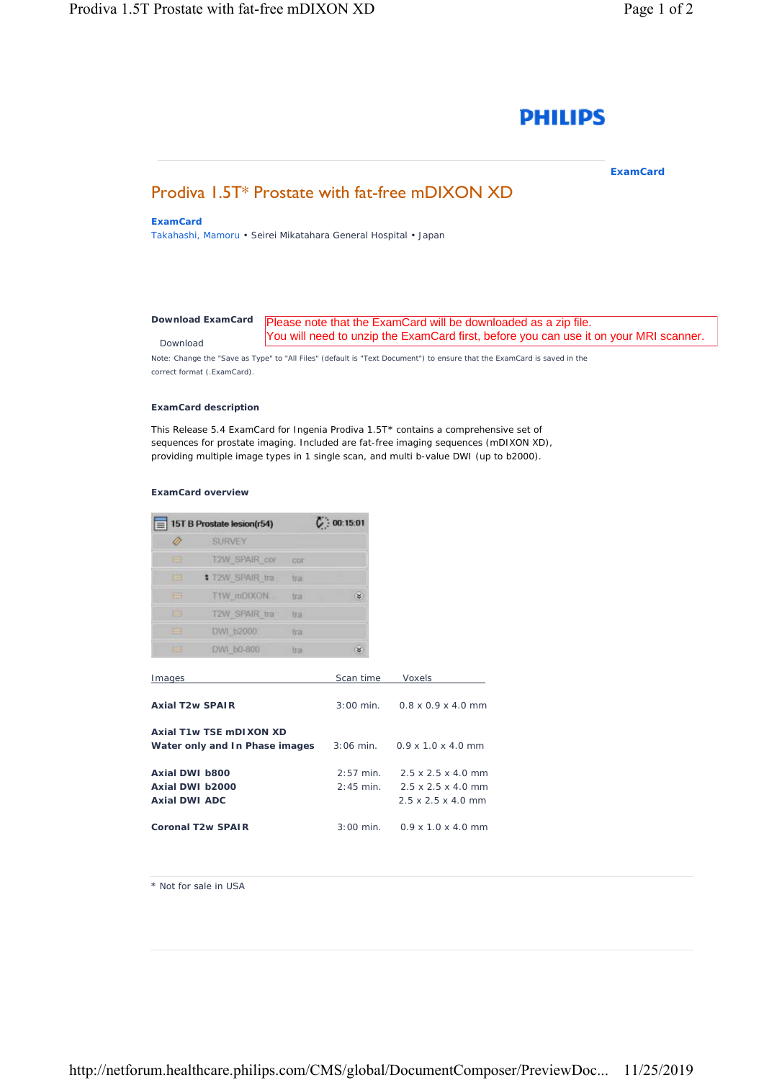

**ExamCard** 

# Prodiva 1.5T\* Prostate with fat-free mDIXON XD

# **ExamCard**

Takahashi, Mamoru • Seirei Mikatahara General Hospital • Japan

#### *[Download ExamCard](https://www.philips.com/c-dam/b2bhc/master/sites/netforum/zips/15t-b-prostate-with-fat-free-mdixon-xd-r54.zip)* Download Please note that the ExamCard will be downloaded as a zip file. You will need to unzip the ExamCard first, before you can use it on your MRI scanner.

Note: Change the "Save as Type" to "All Files" (default is "Text Document") to ensure that the ExamCard is saved in the correct format (.ExamCard).

## **ExamCard description**

This Release 5.4 ExamCard for Ingenia Prodiva 1.5T\* contains a comprehensive set of sequences for prostate imaging. Included are fat-free imaging sequences (mDIXON XD), providing multiple image types in 1 single scan, and multi b-value DWI (up to b2000).

### **ExamCard overview**

| 15T B Prostate lesion(r54) |                      | C: 00:15:01 |   |
|----------------------------|----------------------|-------------|---|
|                            | <b>SURVEY</b>        |             |   |
| е                          | <b>T2W SPAIR cor</b> | COE         |   |
| ш                          | T2W SPAIR tra        | tra         |   |
| ⊞                          | T1W mDIXON           | tra         | ¥ |
| 田                          | <b>T2W SPAIR tra</b> | tra         |   |
| --<br>-                    | DWI b2000            | tra         |   |
| ⊟                          | DWI b0-800           | tra         | ¥ |

| Images                                                     | Scan time   | Voxels                                                                                                         |
|------------------------------------------------------------|-------------|----------------------------------------------------------------------------------------------------------------|
| Axial T <sub>2</sub> w SPAIR                               |             | $3:00 \text{ min.}$ 0.8 x 0.9 x 4.0 mm                                                                         |
| Axial T1w TSE mDI XON XD<br>Water only and In Phase images |             | $3:06$ min. $0.9 \times 1.0 \times 4.0$ mm                                                                     |
| Axial DWI b800<br>Axial DWI b2000<br>Axial DWI ADC         | $2:57$ min. | $2.5 \times 2.5 \times 4.0$ mm<br>$2:45$ min. $2.5 \times 2.5 \times 4.0$ mm<br>$2.5 \times 2.5 \times 4.0$ mm |
| Coronal T <sub>2</sub> w SPAIR                             |             | $3:00$ min. $0.9 \times 1.0 \times 4.0$ mm                                                                     |

\* Not for sale in USA